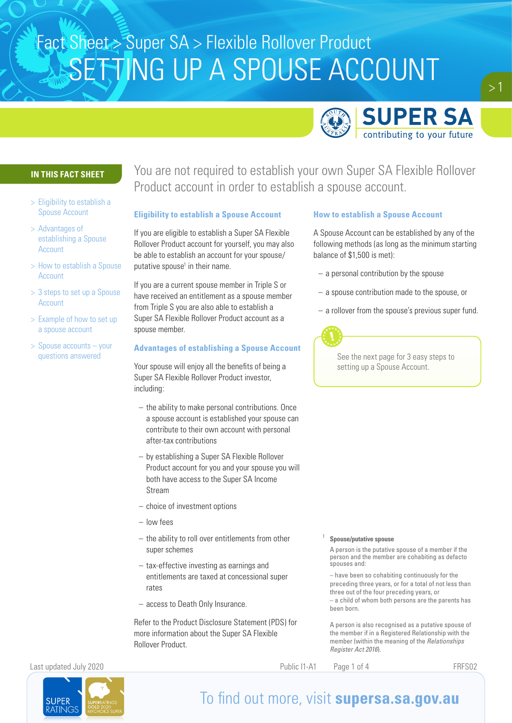

### **IN THIS FACT SHEET**

- > Eligibility to establish a Spouse Account
- > Advantages of establishing a Spouse Account
- > How to establish a Spouse Account
- > 3 steps to set up a Spouse Account
- > Example of how to set up a spouse account
- > Spouse accounts your questions answered

You are not required to establish your own Super SA Flexible Rollover Product account in order to establish a spouse account.

### **Eligibility to establish a Spouse Account**

If you are eligible to establish a Super SA Flexible Rollover Product account for yourself, you may also be able to establish an account for your spouse/ putative spouse<sup>1</sup> in their name.

If you are a current spouse member in Triple S or have received an entitlement as a spouse member from Triple S you are also able to establish a Super SA Flexible Rollover Product account as a spouse member.

### **Advantages of establishing a Spouse Account**

Your spouse will enjoy all the benefits of being a Super SA Flexible Rollover Product investor, including:

- the ability to make personal contributions. Once a spouse account is established your spouse can contribute to their own account with personal after-tax contributions
- by establishing a Super SA Flexible Rollover Product account for you and your spouse you will both have access to the Super SA Income Stream
- choice of investment options
- low fees
- the ability to roll over entitlements from other super schemes
- tax-effective investing as earnings and entitlements are taxed at concessional super rates
- access to Death Only Insurance.

Refer to the Product Disclosure Statement (PDS) for more information about the Super SA Flexible Rollover Product.

### **How to establish a Spouse Account**

A Spouse Account can be established by any of the following methods (as long as the minimum starting balance of \$1,500 is met):

- a personal contribution by the spouse
- a spouse contribution made to the spouse, or
- a rollover from the spouse's previous super fund.



See the next page for 3 easy steps to setting up a Spouse Account.

### <sup>1</sup> **Spouse/putative spouse**

A person is the putative spouse of a member if the person and the member are cohabiting as defacto spouses and:

– have been so cohabiting continuously for the preceding three years, or for a total of not less than three out of the four preceding years, or – a child of whom both persons are the parents has been born.

A person is also recognised as a putative spouse of the member if in a Registered Relationship with the member (within the meaning of the *Relationships Register Act 2016*).

Last updated July 2020 Public I1-A1 Page 1 of 4 FRFS02

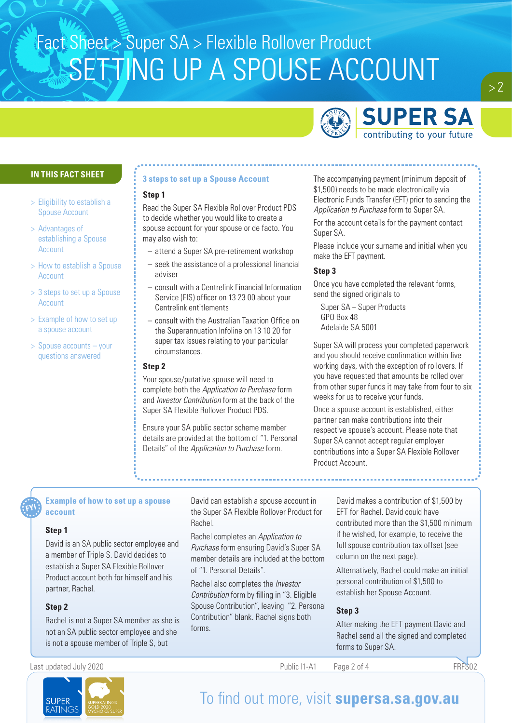

### **IN THIS FACT SHEET**

- > Eligibility to establish a Spouse Account
- > Advantages of establishing a Spouse Account
- > How to establish a Spouse Account
- > 3 steps to set up a Spouse Account
- > Example of how to set up a spouse account
- > Spouse accounts your questions answered

### **3 steps to set up a Spouse Account**

### **Step 1**

Read the Super SA Flexible Rollover Product PDS to decide whether you would like to create a spouse account for your spouse or de facto. You may also wish to:

- attend a Super SA pre-retirement workshop
- seek the assistance of a professional financial adviser
- consult with a Centrelink Financial Information Service (FIS) officer on 13 23 00 about your Centrelink entitlements
- consult with the Australian Taxation Office on the Superannuation Infoline on 13 10 20 for super tax issues relating to your particular circumstances.

### **Step 2**

Your spouse/putative spouse will need to complete both the *Application to Purchase* form and *Investor Contribution* form at the back of the Super SA Flexible Rollover Product PDS.

Ensure your SA public sector scheme member details are provided at the bottom of "1. Personal Details" of the *Application to Purchase* form.

The accompanying payment (minimum deposit of \$1,500) needs to be made electronically via Electronic Funds Transfer (EFT) prior to sending the *Application to Purchase* form to Super SA.

For the account details for the payment contact Super SA.

Please include your surname and initial when you make the EFT payment.

### **Step 3**

Once you have completed the relevant forms, send the signed originals to

Super SA − Super Products GPO Box 48 Adelaide SA 5001

Super SA will process your completed paperwork and you should receive confirmation within five working days, with the exception of rollovers. If you have requested that amounts be rolled over from other super funds it may take from four to six weeks for us to receive your funds.

Once a spouse account is established, either partner can make contributions into their respective spouse's account. Please note that Super SA cannot accept regular employer contributions into a Super SA Flexible Rollover Product Account.

### **Example of how to set up a spouse account**

### **Step 1**

David is an SA public sector employee and a member of Triple S. David decides to establish a Super SA Flexible Rollover Product account both for himself and his partner, Rachel.

### **Step 2**

Rachel is not a Super SA member as she is not an SA public sector employee and she is not a spouse member of Triple S, but

David can establish a spouse account in the Super SA Flexible Rollover Product for Rachel.

Rachel completes an *Application to Purchase* form ensuring David's Super SA member details are included at the bottom of "1. Personal Details".

Rachel also completes the *Investor Contribution* form by filling in "3. Eligible Spouse Contribution", leaving "2. Personal Contribution" blank. Rachel signs both forms.

David makes a contribution of \$1,500 by EFT for Rachel. David could have contributed more than the \$1,500 minimum if he wished, for example, to receive the full spouse contribution tax offset (see column on the next page).

Alternatively, Rachel could make an initial personal contribution of \$1,500 to establish her Spouse Account.

### **Step 3**

After making the EFT payment David and Rachel send all the signed and completed forms to Super SA.

Last updated July 2020 **FRFS02** Public I1-A1 Page 2 of 4

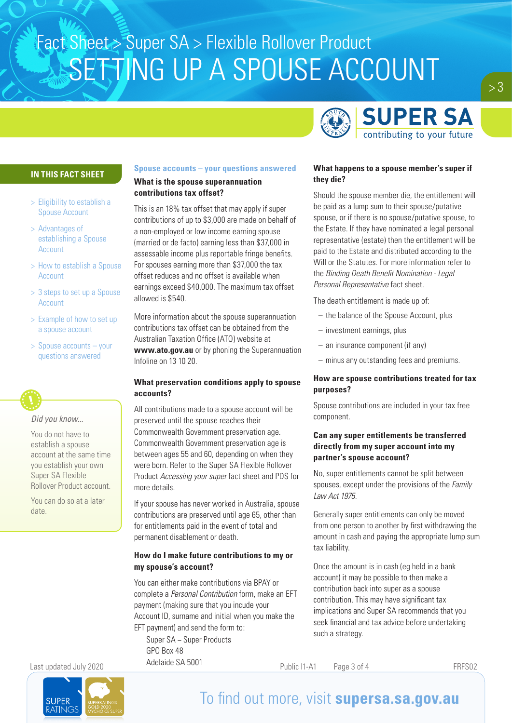

### **IN THIS FACT SHEET**

- > Eligibility to establish a Spouse Account
- > Advantages of establishing a Spouse Account
- > How to establish a Spouse Account
- > 3 steps to set up a Spouse Account
- > Example of how to set up a spouse account
- > Spouse accounts your questions answered

*Did you know...*

You do not have to establish a spouse account at the same time you establish your own Super SA Flexible Rollover Product account.

You can do so at a later date.

### **Spouse accounts – your questions answered**

### **What is the spouse superannuation contributions tax offset?**

This is an 18% tax offset that may apply if super contributions of up to \$3,000 are made on behalf of a non-employed or low income earning spouse (married or de facto) earning less than \$37,000 in assessable income plus reportable fringe benefits. For spouses earning more than \$37,000 the tax offset reduces and no offset is available when earnings exceed \$40,000. The maximum tax offset allowed is \$540.

More information about the spouse superannuation contributions tax offset can be obtained from the Australian Taxation Office (ATO) website at **www.ato.gov.au** or by phoning the Superannuation Infoline on 13 10 20.

### **What preservation conditions apply to spouse accounts?**

All contributions made to a spouse account will be preserved until the spouse reaches their Commonwealth Government preservation age. Commonwealth Government preservation age is between ages 55 and 60, depending on when they were born. Refer to the Super SA Flexible Rollover Product *Accessing your super* fact sheet and PDS for more details.

If your spouse has never worked in Australia, spouse contributions are preserved until age 65, other than for entitlements paid in the event of total and permanent disablement or death.

### **How do I make future contributions to my or my spouse's account?**

You can either make contributions via BPAY or complete a *Personal Contribution* form, make an EFT payment (making sure that you incude your Account ID, surname and initial when you make the EFT payment) and send the form to:

Super SA − Super Products GPO Box 48 Adelaide SA 5001

### **What happens to a spouse member's super if they die?**

Should the spouse member die, the entitlement will be paid as a lump sum to their spouse/putative spouse, or if there is no spouse/putative spouse, to the Estate. If they have nominated a legal personal representative (estate) then the entitlement will be paid to the Estate and distributed according to the Will or the Statutes. For more information refer to the *Binding Death Benefit Nomination - Legal Personal Representative* fact sheet.

The death entitlement is made up of:

- the balance of the Spouse Account, plus
- investment earnings, plus
- an insurance component (if any)
- minus any outstanding fees and premiums.

### **How are spouse contributions treated for tax purposes?**

Spouse contributions are included in your tax free component.

### **Can any super entitlements be transferred directly from my super account into my partner's spouse account?**

No, super entitlements cannot be split between spouses, except under the provisions of the *Family Law Act 1975*.

Generally super entitlements can only be moved from one person to another by first withdrawing the amount in cash and paying the appropriate lump sum tax liability.

Once the amount is in cash (eg held in a bank account) it may be possible to then make a contribution back into super as a spouse contribution. This may have significant tax implications and Super SA recommends that you seek financial and tax advice before undertaking such a strategy.

Last updated July 2020 **Public I1-A1** Page 3 of 4 **Public I1-A1** Page 3 of 4